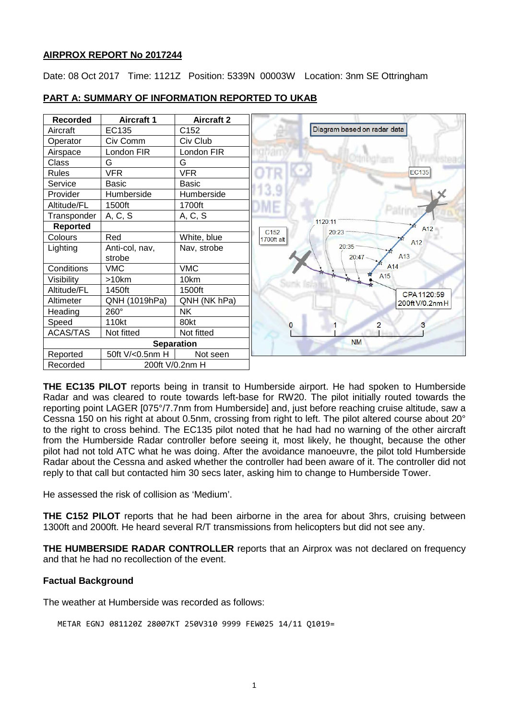### **AIRPROX REPORT No 2017244**

Date: 08 Oct 2017 Time: 1121Z Position: 5339N 00003W Location: 3nm SE Ottringham



## **PART A: SUMMARY OF INFORMATION REPORTED TO UKAB**

**THE EC135 PILOT** reports being in transit to Humberside airport. He had spoken to Humberside Radar and was cleared to route towards left-base for RW20. The pilot initially routed towards the reporting point LAGER [075°/7.7nm from Humberside] and, just before reaching cruise altitude, saw a Cessna 150 on his right at about 0.5nm, crossing from right to left. The pilot altered course about 20° to the right to cross behind. The EC135 pilot noted that he had had no warning of the other aircraft from the Humberside Radar controller before seeing it, most likely, he thought, because the other pilot had not told ATC what he was doing. After the avoidance manoeuvre, the pilot told Humberside Radar about the Cessna and asked whether the controller had been aware of it. The controller did not reply to that call but contacted him 30 secs later, asking him to change to Humberside Tower.

He assessed the risk of collision as 'Medium'.

**THE C152 PILOT** reports that he had been airborne in the area for about 3hrs, cruising between 1300ft and 2000ft. He heard several R/T transmissions from helicopters but did not see any.

**THE HUMBERSIDE RADAR CONTROLLER** reports that an Airprox was not declared on frequency and that he had no recollection of the event.

## **Factual Background**

The weather at Humberside was recorded as follows:

METAR EGNJ 081120Z 28007KT 250V310 9999 FEW025 14/11 Q1019=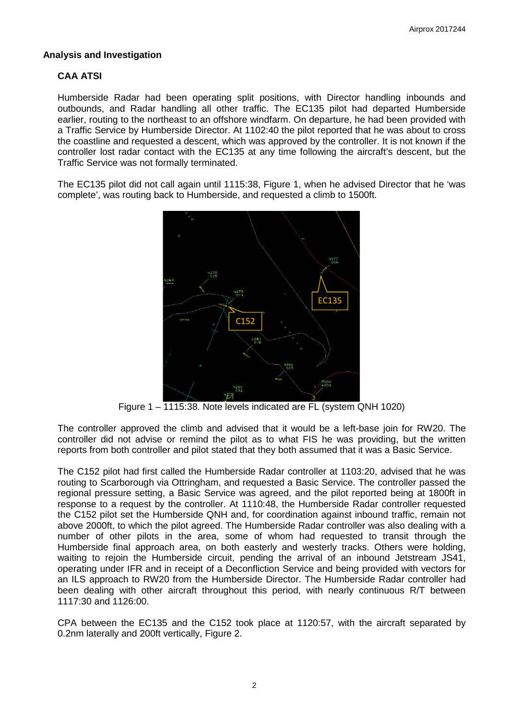## **Analysis and Investigation**

# **CAA ATSI**

Humberside Radar had been operating split positions, with Director handling inbounds and outbounds, and Radar handling all other traffic. The EC135 pilot had departed Humberside earlier, routing to the northeast to an offshore windfarm. On departure, he had been provided with a Traffic Service by Humberside Director. At 1102:40 the pilot reported that he was about to cross the coastline and requested a descent, which was approved by the controller. It is not known if the controller lost radar contact with the EC135 at any time following the aircraft's descent, but the Traffic Service was not formally terminated.

The EC135 pilot did not call again until 1115:38, Figure 1, when he advised Director that he 'was complete', was routing back to Humberside, and requested a climb to 1500ft.



Figure 1 – 1115:38. Note levels indicated are FL (system QNH 1020)

The controller approved the climb and advised that it would be a left-base join for RW20. The controller did not advise or remind the pilot as to what FIS he was providing, but the written reports from both controller and pilot stated that they both assumed that it was a Basic Service.

The C152 pilot had first called the Humberside Radar controller at 1103:20, advised that he was routing to Scarborough via Ottringham, and requested a Basic Service. The controller passed the regional pressure setting, a Basic Service was agreed, and the pilot reported being at 1800ft in response to a request by the controller. At 1110:48, the Humberside Radar controller requested the C152 pilot set the Humberside QNH and, for coordination against inbound traffic, remain not above 2000ft, to which the pilot agreed. The Humberside Radar controller was also dealing with a number of other pilots in the area, some of whom had requested to transit through the Humberside final approach area, on both easterly and westerly tracks. Others were holding, waiting to rejoin the Humberside circuit, pending the arrival of an inbound Jetstream JS41, operating under IFR and in receipt of a Deconfliction Service and being provided with vectors for an ILS approach to RW20 from the Humberside Director. The Humberside Radar controller had been dealing with other aircraft throughout this period, with nearly continuous R/T between 1117:30 and 1126:00.

CPA between the EC135 and the C152 took place at 1120:57, with the aircraft separated by 0.2nm laterally and 200ft vertically, Figure 2.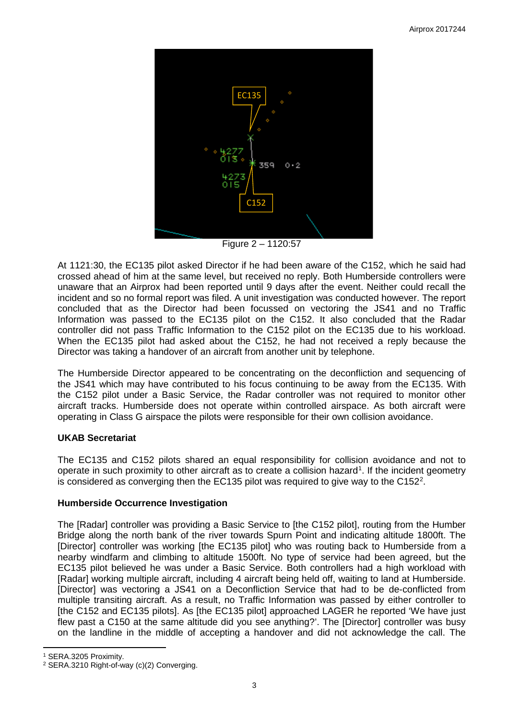

Figure 2 – 1120:57

At 1121:30, the EC135 pilot asked Director if he had been aware of the C152, which he said had crossed ahead of him at the same level, but received no reply. Both Humberside controllers were unaware that an Airprox had been reported until 9 days after the event. Neither could recall the incident and so no formal report was filed. A unit investigation was conducted however. The report concluded that as the Director had been focussed on vectoring the JS41 and no Traffic Information was passed to the EC135 pilot on the C152. It also concluded that the Radar controller did not pass Traffic Information to the C152 pilot on the EC135 due to his workload. When the EC135 pilot had asked about the C152, he had not received a reply because the Director was taking a handover of an aircraft from another unit by telephone.

The Humberside Director appeared to be concentrating on the deconfliction and sequencing of the JS41 which may have contributed to his focus continuing to be away from the EC135. With the C152 pilot under a Basic Service, the Radar controller was not required to monitor other aircraft tracks. Humberside does not operate within controlled airspace. As both aircraft were operating in Class G airspace the pilots were responsible for their own collision avoidance.

## **UKAB Secretariat**

The EC135 and C152 pilots shared an equal responsibility for collision avoidance and not to operate in such proximity to other aircraft as to create a collision hazard<sup>[1](#page-2-0)</sup>. If the incident geometry is considered as converging then the EC135 pilot was required to give way to the C15[2](#page-2-1)<sup>2</sup>.

## **Humberside Occurrence Investigation**

The [Radar] controller was providing a Basic Service to [the C152 pilot], routing from the Humber Bridge along the north bank of the river towards Spurn Point and indicating altitude 1800ft. The [Director] controller was working [the EC135 pilot] who was routing back to Humberside from a nearby windfarm and climbing to altitude 1500ft. No type of service had been agreed, but the EC135 pilot believed he was under a Basic Service. Both controllers had a high workload with [Radar] working multiple aircraft, including 4 aircraft being held off, waiting to land at Humberside. [Director] was vectoring a JS41 on a Deconfliction Service that had to be de-conflicted from multiple transiting aircraft. As a result, no Traffic Information was passed by either controller to [the C152 and EC135 pilots]. As [the EC135 pilot] approached LAGER he reported 'We have just flew past a C150 at the same altitude did you see anything?'. The [Director] controller was busy on the landline in the middle of accepting a handover and did not acknowledge the call. The

l

<span id="page-2-0"></span><sup>1</sup> SERA.3205 Proximity.

<span id="page-2-1"></span><sup>2</sup> SERA.3210 Right-of-way (c)(2) Converging.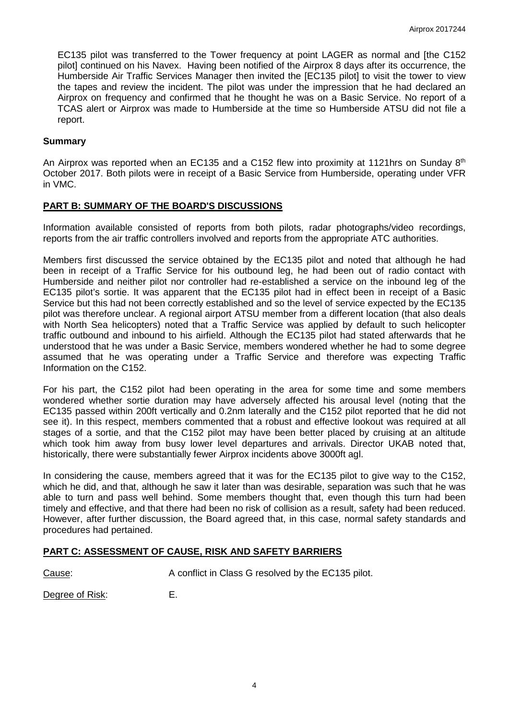EC135 pilot was transferred to the Tower frequency at point LAGER as normal and [the C152 pilot] continued on his Navex. Having been notified of the Airprox 8 days after its occurrence, the Humberside Air Traffic Services Manager then invited the [EC135 pilot] to visit the tower to view the tapes and review the incident. The pilot was under the impression that he had declared an Airprox on frequency and confirmed that he thought he was on a Basic Service. No report of a TCAS alert or Airprox was made to Humberside at the time so Humberside ATSU did not file a report.

#### **Summary**

An Airprox was reported when an EC135 and a C152 flew into proximity at 1121hrs on Sunday 8<sup>th</sup> October 2017. Both pilots were in receipt of a Basic Service from Humberside, operating under VFR in VMC.

### **PART B: SUMMARY OF THE BOARD'S DISCUSSIONS**

Information available consisted of reports from both pilots, radar photographs/video recordings, reports from the air traffic controllers involved and reports from the appropriate ATC authorities.

Members first discussed the service obtained by the EC135 pilot and noted that although he had been in receipt of a Traffic Service for his outbound leg, he had been out of radio contact with Humberside and neither pilot nor controller had re-established a service on the inbound leg of the EC135 pilot's sortie. It was apparent that the EC135 pilot had in effect been in receipt of a Basic Service but this had not been correctly established and so the level of service expected by the EC135 pilot was therefore unclear. A regional airport ATSU member from a different location (that also deals with North Sea helicopters) noted that a Traffic Service was applied by default to such helicopter traffic outbound and inbound to his airfield. Although the EC135 pilot had stated afterwards that he understood that he was under a Basic Service, members wondered whether he had to some degree assumed that he was operating under a Traffic Service and therefore was expecting Traffic Information on the C152.

For his part, the C152 pilot had been operating in the area for some time and some members wondered whether sortie duration may have adversely affected his arousal level (noting that the EC135 passed within 200ft vertically and 0.2nm laterally and the C152 pilot reported that he did not see it). In this respect, members commented that a robust and effective lookout was required at all stages of a sortie, and that the C152 pilot may have been better placed by cruising at an altitude which took him away from busy lower level departures and arrivals. Director UKAB noted that, historically, there were substantially fewer Airprox incidents above 3000ft agl.

In considering the cause, members agreed that it was for the EC135 pilot to give way to the C152, which he did, and that, although he saw it later than was desirable, separation was such that he was able to turn and pass well behind. Some members thought that, even though this turn had been timely and effective, and that there had been no risk of collision as a result, safety had been reduced. However, after further discussion, the Board agreed that, in this case, normal safety standards and procedures had pertained.

## **PART C: ASSESSMENT OF CAUSE, RISK AND SAFETY BARRIERS**

Cause: Cause: A conflict in Class G resolved by the EC135 pilot.

Degree of Risk: E.